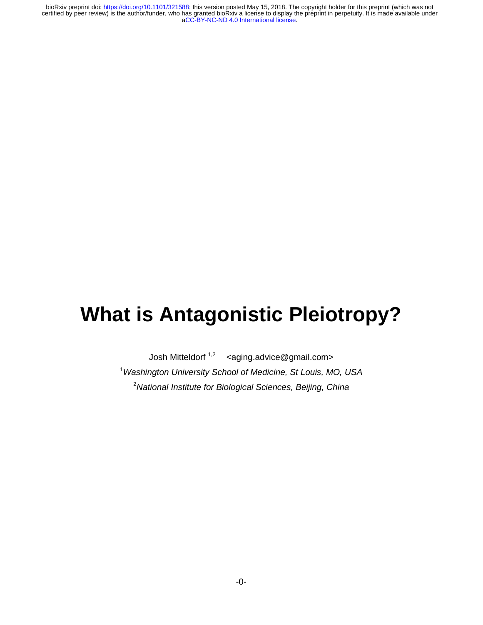# **What is Antagonistic Pleiotropy?**

Josh Mitteldorf<sup>1,2</sup> <aging.advice@gmail.com> 1 *Washington University School of Medicine, St Louis, MO, USA*  2 *National Institute for Biological Sciences, Beijing, China*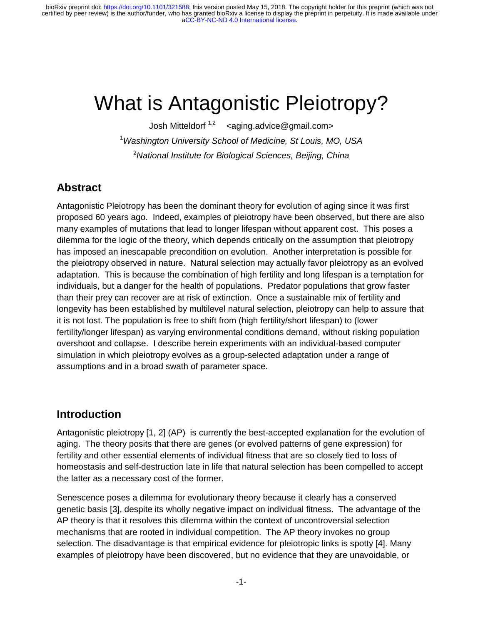# What is Antagonistic Pleiotropy?

Josh Mitteldorf<sup>1,2</sup> <aging.advice@gmail.com> 1 *Washington University School of Medicine, St Louis, MO, USA*  2 *National Institute for Biological Sciences, Beijing, China*

#### **Abstract**

Antagonistic Pleiotropy has been the dominant theory for evolution of aging since it was first proposed 60 years ago. Indeed, examples of pleiotropy have been observed, but there are also many examples of mutations that lead to longer lifespan without apparent cost. This poses a dilemma for the logic of the theory, which depends critically on the assumption that pleiotropy has imposed an inescapable precondition on evolution. Another interpretation is possible for the pleiotropy observed in nature. Natural selection may actually favor pleiotropy as an evolved adaptation. This is because the combination of high fertility and long lifespan is a temptation for individuals, but a danger for the health of populations. Predator populations that grow faster than their prey can recover are at risk of extinction. Once a sustainable mix of fertility and longevity has been established by multilevel natural selection, pleiotropy can help to assure that it is not lost. The population is free to shift from (high fertility/short lifespan) to (lower fertility/longer lifespan) as varying environmental conditions demand, without risking population overshoot and collapse. I describe herein experiments with an individual-based computer simulation in which pleiotropy evolves as a group-selected adaptation under a range of assumptions and in a broad swath of parameter space.

#### **Introduction**

Antagonistic pleiotropy [1, 2] (AP) is currently the best-accepted explanation for the evolution of aging. The theory posits that there are genes (or evolved patterns of gene expression) for fertility and other essential elements of individual fitness that are so closely tied to loss of homeostasis and self-destruction late in life that natural selection has been compelled to accept the latter as a necessary cost of the former.

Senescence poses a dilemma for evolutionary theory because it clearly has a conserved genetic basis [3], despite its wholly negative impact on individual fitness. The advantage of the AP theory is that it resolves this dilemma within the context of uncontroversial selection mechanisms that are rooted in individual competition. The AP theory invokes no group selection. The disadvantage is that empirical evidence for pleiotropic links is spotty [4]. Many examples of pleiotropy have been discovered, but no evidence that they are unavoidable, or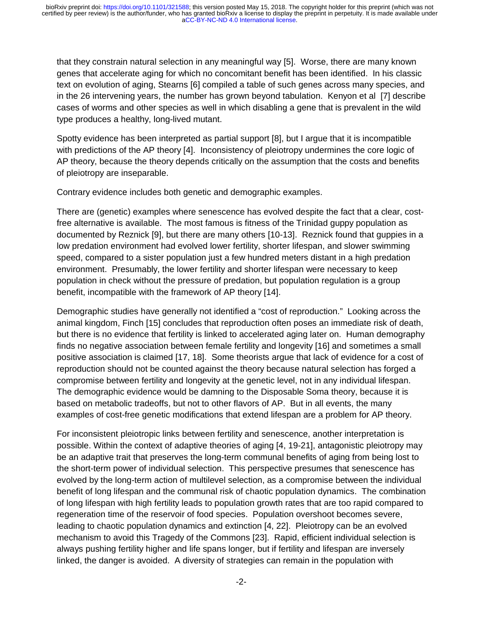that they constrain natural selection in any meaningful way [5]. Worse, there are many known genes that accelerate aging for which no concomitant benefit has been identified. In his classic text on evolution of aging, Stearns [6] compiled a table of such genes across many species, and in the 26 intervening years, the number has grown beyond tabulation. Kenyon et al [7] describe cases of worms and other species as well in which disabling a gene that is prevalent in the wild type produces a healthy, long-lived mutant.

Spotty evidence has been interpreted as partial support [8], but I argue that it is incompatible with predictions of the AP theory [4]. Inconsistency of pleiotropy undermines the core logic of AP theory, because the theory depends critically on the assumption that the costs and benefits of pleiotropy are inseparable.

Contrary evidence includes both genetic and demographic examples.

There are (genetic) examples where senescence has evolved despite the fact that a clear, costfree alternative is available. The most famous is fitness of the Trinidad guppy population as documented by Reznick [9], but there are many others [10-13]. Reznick found that guppies in a low predation environment had evolved lower fertility, shorter lifespan, and slower swimming speed, compared to a sister population just a few hundred meters distant in a high predation environment. Presumably, the lower fertility and shorter lifespan were necessary to keep population in check without the pressure of predation, but population regulation is a group benefit, incompatible with the framework of AP theory [14].

Demographic studies have generally not identified a "cost of reproduction." Looking across the animal kingdom, Finch [15] concludes that reproduction often poses an immediate risk of death, but there is no evidence that fertility is linked to accelerated aging later on. Human demography finds no negative association between female fertility and longevity [16] and sometimes a small positive association is claimed [17, 18]. Some theorists argue that lack of evidence for a cost of reproduction should not be counted against the theory because natural selection has forged a compromise between fertility and longevity at the genetic level, not in any individual lifespan. The demographic evidence would be damning to the Disposable Soma theory, because it is based on metabolic tradeoffs, but not to other flavors of AP. But in all events, the many examples of cost-free genetic modifications that extend lifespan are a problem for AP theory.

For inconsistent pleiotropic links between fertility and senescence, another interpretation is possible. Within the context of adaptive theories of aging [4, 19-21], antagonistic pleiotropy may be an adaptive trait that preserves the long-term communal benefits of aging from being lost to the short-term power of individual selection. This perspective presumes that senescence has evolved by the long-term action of multilevel selection, as a compromise between the individual benefit of long lifespan and the communal risk of chaotic population dynamics. The combination of long lifespan with high fertility leads to population growth rates that are too rapid compared to regeneration time of the reservoir of food species. Population overshoot becomes severe, leading to chaotic population dynamics and extinction [4, 22]. Pleiotropy can be an evolved mechanism to avoid this Tragedy of the Commons [23]. Rapid, efficient individual selection is always pushing fertility higher and life spans longer, but if fertility and lifespan are inversely linked, the danger is avoided. A diversity of strategies can remain in the population with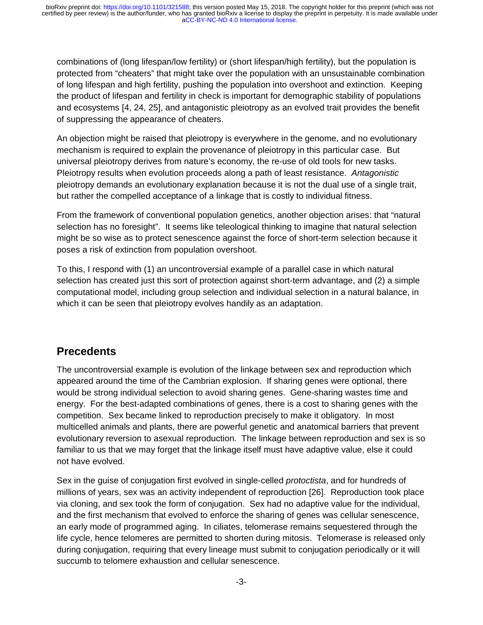combinations of (long lifespan/low fertility) or (short lifespan/high fertility), but the population is protected from "cheaters" that might take over the population with an unsustainable combination of long lifespan and high fertility, pushing the population into overshoot and extinction. Keeping the product of lifespan and fertility in check is important for demographic stability of populations and ecosystems [4, 24, 25], and antagonistic pleiotropy as an evolved trait provides the benefit of suppressing the appearance of cheaters.

An objection might be raised that pleiotropy is everywhere in the genome, and no evolutionary mechanism is required to explain the provenance of pleiotropy in this particular case. But universal pleiotropy derives from nature's economy, the re-use of old tools for new tasks. Pleiotropy results when evolution proceeds along a path of least resistance. *Antagonistic* pleiotropy demands an evolutionary explanation because it is not the dual use of a single trait, but rather the compelled acceptance of a linkage that is costly to individual fitness.

From the framework of conventional population genetics, another objection arises: that "natural selection has no foresight". It seems like teleological thinking to imagine that natural selection might be so wise as to protect senescence against the force of short-term selection because it poses a risk of extinction from population overshoot.

To this, I respond with (1) an uncontroversial example of a parallel case in which natural selection has created just this sort of protection against short-term advantage, and (2) a simple computational model, including group selection and individual selection in a natural balance, in which it can be seen that pleiotropy evolves handily as an adaptation.

### **Precedents**

The uncontroversial example is evolution of the linkage between sex and reproduction which appeared around the time of the Cambrian explosion. If sharing genes were optional, there would be strong individual selection to avoid sharing genes. Gene-sharing wastes time and energy. For the best-adapted combinations of genes, there is a cost to sharing genes with the competition. Sex became linked to reproduction precisely to make it obligatory. In most multicelled animals and plants, there are powerful genetic and anatomical barriers that prevent evolutionary reversion to asexual reproduction. The linkage between reproduction and sex is so familiar to us that we may forget that the linkage itself must have adaptive value, else it could not have evolved.

Sex in the guise of conjugation first evolved in single-celled *protoctista*, and for hundreds of millions of years, sex was an activity independent of reproduction [26]. Reproduction took place via cloning, and sex took the form of conjugation. Sex had no adaptive value for the individual, and the first mechanism that evolved to enforce the sharing of genes was cellular senescence, an early mode of programmed aging. In ciliates, telomerase remains sequestered through the life cycle, hence telomeres are permitted to shorten during mitosis. Telomerase is released only during conjugation, requiring that every lineage must submit to conjugation periodically or it will succumb to telomere exhaustion and cellular senescence.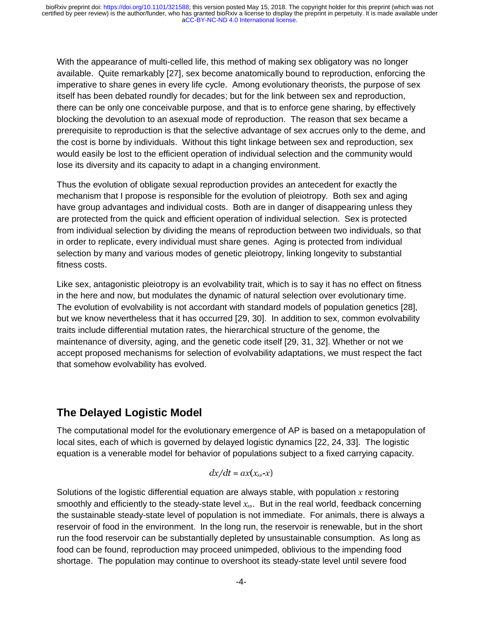With the appearance of multi-celled life, this method of making sex obligatory was no longer available. Quite remarkably [27], sex become anatomically bound to reproduction, enforcing the imperative to share genes in every life cycle. Among evolutionary theorists, the purpose of sex itself has been debated roundly for decades; but for the link between sex and reproduction, there can be only one conceivable purpose, and that is to enforce gene sharing, by effectively blocking the devolution to an asexual mode of reproduction. The reason that sex became a prerequisite to reproduction is that the selective advantage of sex accrues only to the deme, and the cost is borne by individuals. Without this tight linkage between sex and reproduction, sex would easily be lost to the efficient operation of individual selection and the community would lose its diversity and its capacity to adapt in a changing environment.

Thus the evolution of obligate sexual reproduction provides an antecedent for exactly the mechanism that I propose is responsible for the evolution of pleiotropy. Both sex and aging have group advantages and individual costs. Both are in danger of disappearing unless they are protected from the quick and efficient operation of individual selection. Sex is protected from individual selection by dividing the means of reproduction between two individuals, so that in order to replicate, every individual must share genes. Aging is protected from individual selection by many and various modes of genetic pleiotropy, linking longevity to substantial fitness costs.

Like sex, antagonistic pleiotropy is an evolvability trait, which is to say it has no effect on fitness in the here and now, but modulates the dynamic of natural selection over evolutionary time. The evolution of evolvability is not accordant with standard models of population genetics [28], but we know nevertheless that it has occurred [29, 30]. In addition to sex, common evolvability traits include differential mutation rates, the hierarchical structure of the genome, the maintenance of diversity, aging, and the genetic code itself [29, 31, 32]. Whether or not we accept proposed mechanisms for selection of evolvability adaptations, we must respect the fact that somehow evolvability has evolved.

### **The Delayed Logistic Model**

The computational model for the evolutionary emergence of AP is based on a metapopulation of local sites, each of which is governed by delayed logistic dynamics [22, 24, 33]. The logistic equation is a venerable model for behavior of populations subject to a fixed carrying capacity.

$$
dx/dt = ax(x_{ss}-x)
$$

Solutions of the logistic differential equation are always stable, with population  $x$  restoring smoothly and efficiently to the steady-state level  $x_{ss}$ . But in the real world, feedback concerning the sustainable steady-state level of population is not immediate. For animals, there is always a reservoir of food in the environment. In the long run, the reservoir is renewable, but in the short run the food reservoir can be substantially depleted by unsustainable consumption. As long as food can be found, reproduction may proceed unimpeded, oblivious to the impending food shortage. The population may continue to overshoot its steady-state level until severe food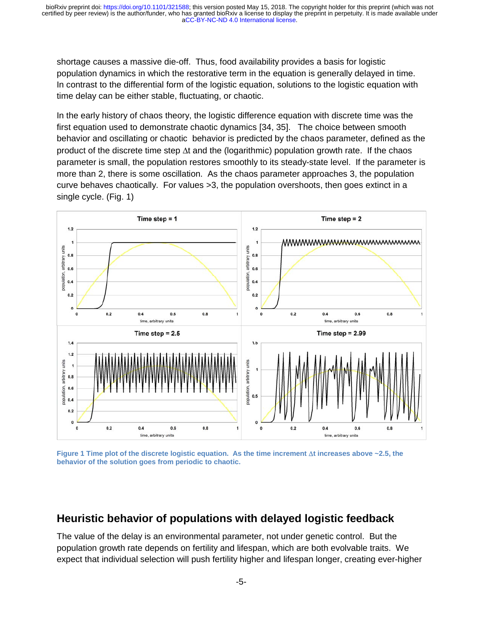shortage causes a massive die-off. Thus, food availability provides a basis for logistic population dynamics in which the restorative term in the equation is generally delayed in time. In contrast to the differential form of the logistic equation, solutions to the logistic equation with time delay can be either stable, fluctuating, or chaotic.

In the early history of chaos theory, the logistic difference equation with discrete time was the first equation used to demonstrate chaotic dynamics [34, 35]. The choice between smooth behavior and oscillating or chaotic behavior is predicted by the chaos parameter, defined as the product of the discrete time step Δt and the (logarithmic) population growth rate. If the chaos parameter is small, the population restores smoothly to its steady-state level. If the parameter is more than 2, there is some oscillation. As the chaos parameter approaches 3, the population curve behaves chaotically. For values >3, the population overshoots, then goes extinct in a single cycle. (Fig. 1)



**Figure 1 Time plot of the discrete logistic equation. As the time increment** Δ**t increases above ~2.5, the behavior of the solution goes from periodic to chaotic.** 

### **Heuristic behavior of populations with delayed logistic feedback**

The value of the delay is an environmental parameter, not under genetic control. But the population growth rate depends on fertility and lifespan, which are both evolvable traits. We expect that individual selection will push fertility higher and lifespan longer, creating ever-higher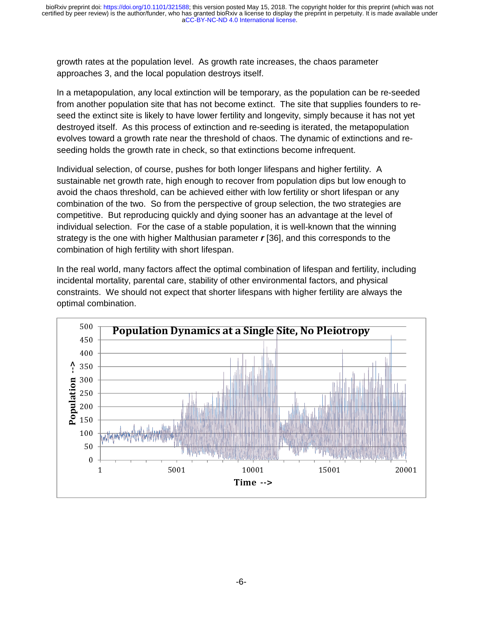growth rates at the population level. As growth rate increases, the chaos parameter approaches 3, and the local population destroys itself.

In a metapopulation, any local extinction will be temporary, as the population can be re-seeded from another population site that has not become extinct. The site that supplies founders to reseed the extinct site is likely to have lower fertility and longevity, simply because it has not yet destroyed itself. As this process of extinction and re-seeding is iterated, the metapopulation evolves toward a growth rate near the threshold of chaos. The dynamic of extinctions and reseeding holds the growth rate in check, so that extinctions become infrequent.

Individual selection, of course, pushes for both longer lifespans and higher fertility. A sustainable net growth rate, high enough to recover from population dips but low enough to avoid the chaos threshold, can be achieved either with low fertility or short lifespan or any combination of the two. So from the perspective of group selection, the two strategies are competitive. But reproducing quickly and dying sooner has an advantage at the level of individual selection. For the case of a stable population, it is well-known that the winning strategy is the one with higher Malthusian parameter *r* [36], and this corresponds to the combination of high fertility with short lifespan.

In the real world, many factors affect the optimal combination of lifespan and fertility, including incidental mortality, parental care, stability of other environmental factors, and physical constraints. We should not expect that shorter lifespans with higher fertility are always the optimal combination.

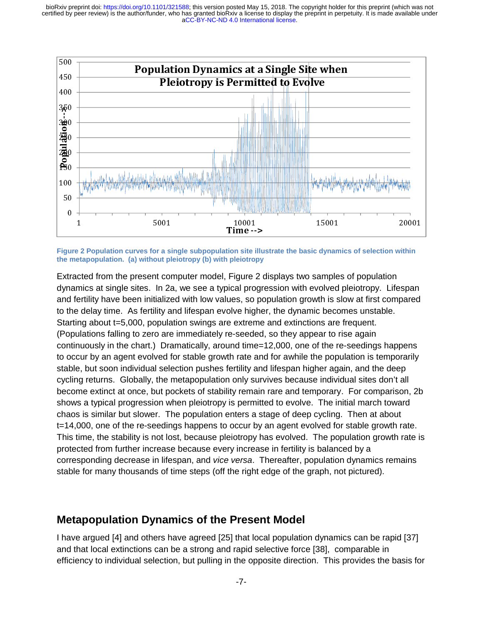

**Figure 2 Population curves for a single subpopulation site illustrate the basic dynamics of selection within the metapopulation. (a) without pleiotropy (b) with pleiotropy** 

Extracted from the present computer model, Figure 2 displays two samples of population dynamics at single sites. In 2a, we see a typical progression with evolved pleiotropy. Lifespan and fertility have been initialized with low values, so population growth is slow at first compared to the delay time. As fertility and lifespan evolve higher, the dynamic becomes unstable. Starting about t=5,000, population swings are extreme and extinctions are frequent. (Populations falling to zero are immediately re-seeded, so they appear to rise again continuously in the chart.) Dramatically, around time=12,000, one of the re-seedings happens to occur by an agent evolved for stable growth rate and for awhile the population is temporarily stable, but soon individual selection pushes fertility and lifespan higher again, and the deep cycling returns. Globally, the metapopulation only survives because individual sites don't all become extinct at once, but pockets of stability remain rare and temporary. For comparison, 2b shows a typical progression when pleiotropy is permitted to evolve. The initial march toward chaos is similar but slower. The population enters a stage of deep cycling. Then at about t=14,000, one of the re-seedings happens to occur by an agent evolved for stable growth rate. This time, the stability is not lost, because pleiotropy has evolved. The population growth rate is protected from further increase because every increase in fertility is balanced by a corresponding decrease in lifespan, and *vice versa*. Thereafter, population dynamics remains stable for many thousands of time steps (off the right edge of the graph, not pictured).

#### **Metapopulation Dynamics of the Present Model**

I have argued [4] and others have agreed [25] that local population dynamics can be rapid [37] and that local extinctions can be a strong and rapid selective force [38], comparable in efficiency to individual selection, but pulling in the opposite direction. This provides the basis for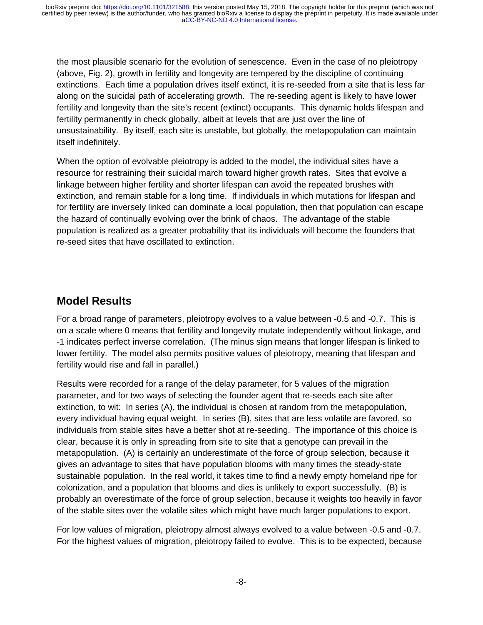the most plausible scenario for the evolution of senescence. Even in the case of no pleiotropy (above, Fig. 2), growth in fertility and longevity are tempered by the discipline of continuing extinctions. Each time a population drives itself extinct, it is re-seeded from a site that is less far along on the suicidal path of accelerating growth. The re-seeding agent is likely to have lower fertility and longevity than the site's recent (extinct) occupants. This dynamic holds lifespan and fertility permanently in check globally, albeit at levels that are just over the line of unsustainability. By itself, each site is unstable, but globally, the metapopulation can maintain itself indefinitely.

When the option of evolvable pleiotropy is added to the model, the individual sites have a resource for restraining their suicidal march toward higher growth rates. Sites that evolve a linkage between higher fertility and shorter lifespan can avoid the repeated brushes with extinction, and remain stable for a long time. If individuals in which mutations for lifespan and for fertility are inversely linked can dominate a local population, then that population can escape the hazard of continually evolving over the brink of chaos. The advantage of the stable population is realized as a greater probability that its individuals will become the founders that re-seed sites that have oscillated to extinction.

### **Model Results**

For a broad range of parameters, pleiotropy evolves to a value between -0.5 and -0.7. This is on a scale where 0 means that fertility and longevity mutate independently without linkage, and -1 indicates perfect inverse correlation. (The minus sign means that longer lifespan is linked to lower fertility. The model also permits positive values of pleiotropy, meaning that lifespan and fertility would rise and fall in parallel.)

Results were recorded for a range of the delay parameter, for 5 values of the migration parameter, and for two ways of selecting the founder agent that re-seeds each site after extinction, to wit: In series (A), the individual is chosen at random from the metapopulation, every individual having equal weight. In series (B), sites that are less volatile are favored, so individuals from stable sites have a better shot at re-seeding. The importance of this choice is clear, because it is only in spreading from site to site that a genotype can prevail in the metapopulation. (A) is certainly an underestimate of the force of group selection, because it gives an advantage to sites that have population blooms with many times the steady-state sustainable population. In the real world, it takes time to find a newly empty homeland ripe for colonization, and a population that blooms and dies is unlikely to export successfully. (B) is probably an overestimate of the force of group selection, because it weights too heavily in favor of the stable sites over the volatile sites which might have much larger populations to export.

For low values of migration, pleiotropy almost always evolved to a value between -0.5 and -0.7. For the highest values of migration, pleiotropy failed to evolve. This is to be expected, because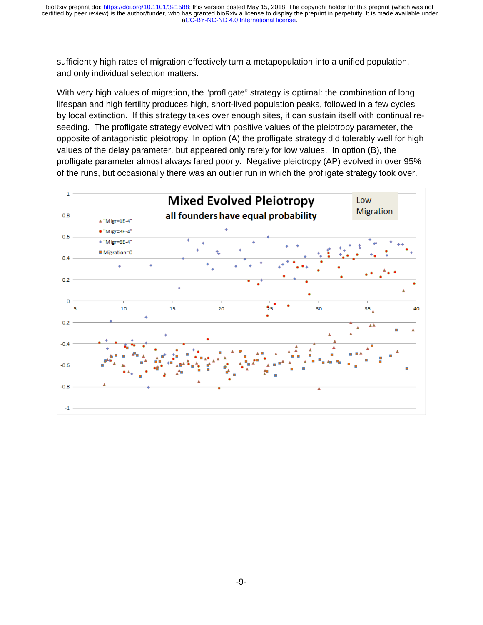sufficiently high rates of migration effectively turn a metapopulation into a unified population, and only individual selection matters.

With very high values of migration, the "profligate" strategy is optimal: the combination of long lifespan and high fertility produces high, short-lived population peaks, followed in a few cycles by local extinction. If this strategy takes over enough sites, it can sustain itself with continual reseeding. The profligate strategy evolved with positive values of the pleiotropy parameter, the opposite of antagonistic pleiotropy. In option (A) the profligate strategy did tolerably well for high values of the delay parameter, but appeared only rarely for low values. In option (B), the profligate parameter almost always fared poorly. Negative pleiotropy (AP) evolved in over 95% of the runs, but occasionally there was an outlier run in which the profligate strategy took over.

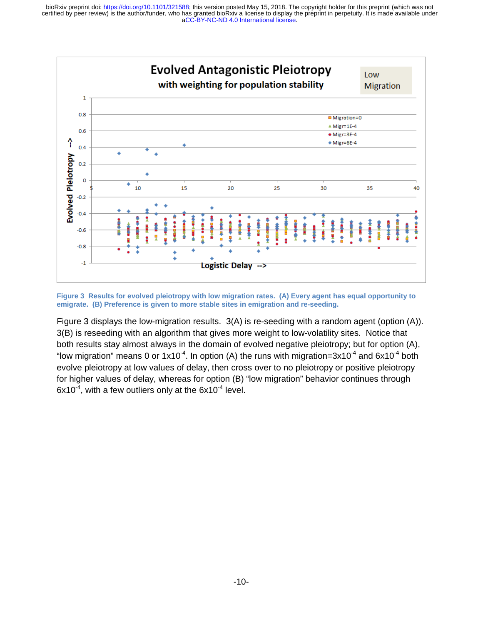

**Figure 3 Results for evolved pleiotropy with low migration rates. (A) Every agent has equal opportunity to emigrate. (B) Preference is given to more stable sites in emigration and re-seeding.** 

Figure 3 displays the low-migration results. 3(A) is re-seeding with a random agent (option (A)). 3(B) is reseeding with an algorithm that gives more weight to low-volatility sites. Notice that both results stay almost always in the domain of evolved negative pleiotropy; but for option (A), "low migration" means 0 or  $1x10^{-4}$ . In option (A) the runs with migration=3x10<sup>-4</sup> and 6x10<sup>-4</sup> both evolve pleiotropy at low values of delay, then cross over to no pleiotropy or positive pleiotropy for higher values of delay, whereas for option (B) "low migration" behavior continues through  $6x10^{-4}$ , with a few outliers only at the  $6x10^{-4}$  level.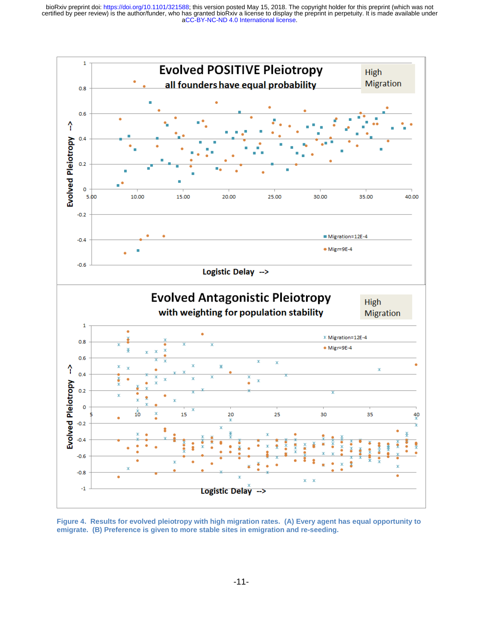

**Figure 4. Results for evolved pleiotropy with high migration rates. (A) Every agent has equal opportunity to emigrate. (B) Preference is given to more stable sites in emigration and re-seeding.**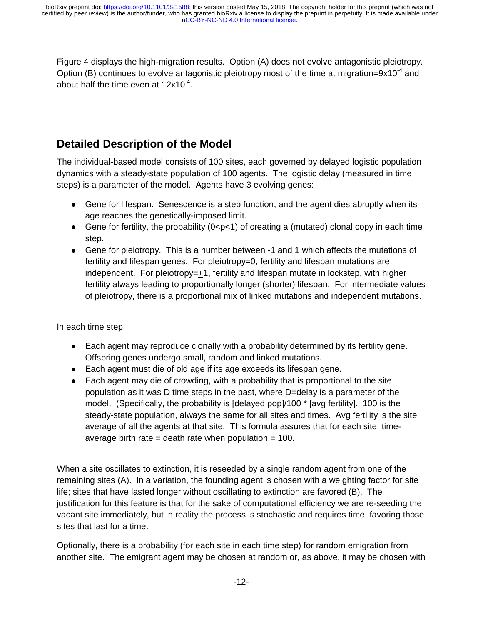Figure 4 displays the high-migration results. Option (A) does not evolve antagonistic pleiotropy. Option (B) continues to evolve antagonistic pleiotropy most of the time at migration=9x10<sup>-4</sup> and about half the time even at  $12x10^{-4}$ .

# **Detailed Description of the Model**

The individual-based model consists of 100 sites, each governed by delayed logistic population dynamics with a steady-state population of 100 agents. The logistic delay (measured in time steps) is a parameter of the model. Agents have 3 evolving genes:

- Gene for lifespan. Senescence is a step function, and the agent dies abruptly when its age reaches the genetically-imposed limit.
- Gene for fertility, the probability  $(0 < p < 1)$  of creating a (mutated) clonal copy in each time step.
- Gene for pleiotropy. This is a number between -1 and 1 which affects the mutations of fertility and lifespan genes. For pleiotropy=0, fertility and lifespan mutations are independent. For pleiotropy= $\pm$ 1, fertility and lifespan mutate in lockstep, with higher fertility always leading to proportionally longer (shorter) lifespan. For intermediate values of pleiotropy, there is a proportional mix of linked mutations and independent mutations.

In each time step,

- Each agent may reproduce clonally with a probability determined by its fertility gene. Offspring genes undergo small, random and linked mutations.
- Each agent must die of old age if its age exceeds its lifespan gene.
- Each agent may die of crowding, with a probability that is proportional to the site population as it was D time steps in the past, where D=delay is a parameter of the model. (Specifically, the probability is [delayed pop]/100 \* [avg fertility]. 100 is the steady-state population, always the same for all sites and times. Avg fertility is the site average of all the agents at that site. This formula assures that for each site, timeaverage birth rate = death rate when population =  $100$ .

When a site oscillates to extinction, it is reseeded by a single random agent from one of the remaining sites (A). In a variation, the founding agent is chosen with a weighting factor for site life; sites that have lasted longer without oscillating to extinction are favored (B). The justification for this feature is that for the sake of computational efficiency we are re-seeding the vacant site immediately, but in reality the process is stochastic and requires time, favoring those sites that last for a time.

Optionally, there is a probability (for each site in each time step) for random emigration from another site. The emigrant agent may be chosen at random or, as above, it may be chosen with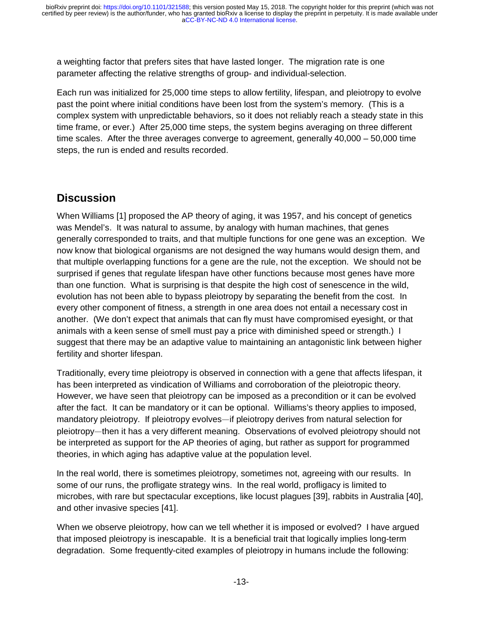a weighting factor that prefers sites that have lasted longer. The migration rate is one parameter affecting the relative strengths of group- and individual-selection.

Each run was initialized for 25,000 time steps to allow fertility, lifespan, and pleiotropy to evolve past the point where initial conditions have been lost from the system's memory. (This is a complex system with unpredictable behaviors, so it does not reliably reach a steady state in this time frame, or ever.) After 25,000 time steps, the system begins averaging on three different time scales. After the three averages converge to agreement, generally 40,000 – 50,000 time steps, the run is ended and results recorded.

## **Discussion**

When Williams [1] proposed the AP theory of aging, it was 1957, and his concept of genetics was Mendel's. It was natural to assume, by analogy with human machines, that genes generally corresponded to traits, and that multiple functions for one gene was an exception. We now know that biological organisms are not designed the way humans would design them, and that multiple overlapping functions for a gene are the rule, not the exception. We should not be surprised if genes that regulate lifespan have other functions because most genes have more than one function. What is surprising is that despite the high cost of senescence in the wild, evolution has not been able to bypass pleiotropy by separating the benefit from the cost. In every other component of fitness, a strength in one area does not entail a necessary cost in another. (We don't expect that animals that can fly must have compromised eyesight, or that animals with a keen sense of smell must pay a price with diminished speed or strength.) I suggest that there may be an adaptive value to maintaining an antagonistic link between higher fertility and shorter lifespan.

Traditionally, every time pleiotropy is observed in connection with a gene that affects lifespan, it has been interpreted as vindication of Williams and corroboration of the pleiotropic theory. However, we have seen that pleiotropy can be imposed as a precondition or it can be evolved after the fact. It can be mandatory or it can be optional. Williams's theory applies to imposed, mandatory pleiotropy. If pleiotropy evolves—if pleiotropy derives from natural selection for —if pleiotropy derives from natural selection for<br>ning. Observations of evolved pleiotropy should<br>is of aging, but rather as support for programme<br>at the population level. pleiotropy—then it has a very different meaning. Observations of evolved pleiotropy should not —then it has a very different meaning. Observations of evolved pleiotropy should not<br>eted as support for the AP theories of aging, but rather as support for programmed<br>n which aging has adaptive value at the population lev be interpreted as support for the AP theories of aging, but rather as support for programmed theories, in which aging has adaptive value at the population level.

In the real world, there is sometimes pleiotropy, sometimes not, agreeing with our results. In some of our runs, the profligate strategy wins. In the real world, profligacy is limited to microbes, with rare but spectacular exceptions, like locust plagues [39], rabbits in Australia [40], and other invasive species [41].

When we observe pleiotropy, how can we tell whether it is imposed or evolved? I have argued that imposed pleiotropy is inescapable. It is a beneficial trait that logically implies long-term degradation. Some frequently-cited examples of pleiotropy in humans include the following: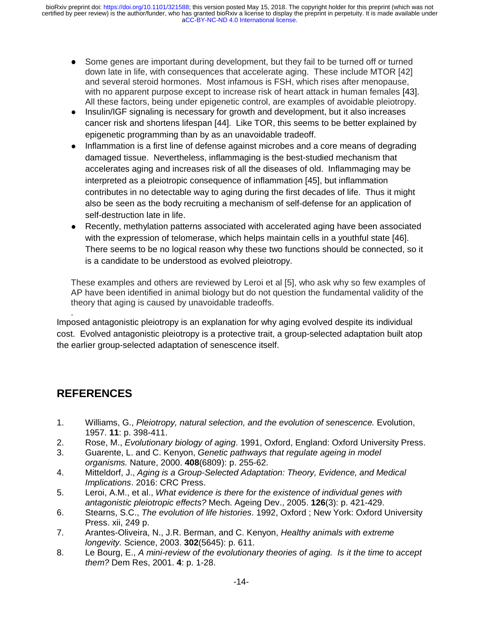- Some genes are important during development, but they fail to be turned off or turned down late in life, with consequences that accelerate aging. These include MTOR [42] and several steroid hormones. Most infamous is FSH, which rises after menopause, with no apparent purpose except to increase risk of heart attack in human females [43]. All these factors, being under epigenetic control, are examples of avoidable pleiotropy.
- Insulin/IGF signaling is necessary for growth and development, but it also increases cancer risk and shortens lifespan [44]. Like TOR, this seems to be better explained by epigenetic programming than by as an unavoidable tradeoff.
- Inflammation is a first line of defense against microbes and a core means of degrading damaged tissue. Nevertheless, inflammaging is the best-studied mechanism that accelerates aging and increases risk of all the diseases of old. Inflammaging may be interpreted as a pleiotropic consequence of inflammation [45], but inflammation contributes in no detectable way to aging during the first decades of life. Thus it might also be seen as the body recruiting a mechanism of self-defense for an application of self-destruction late in life.
- Recently, methylation patterns associated with accelerated aging have been associated with the expression of telomerase, which helps maintain cells in a youthful state [46]. There seems to be no logical reason why these two functions should be connected, so it is a candidate to be understood as evolved pleiotropy.

These examples and others are reviewed by Leroi et al [5], who ask why so few examples of AP have been identified in animal biology but do not question the fundamental validity of the theory that aging is caused by unavoidable tradeoffs.

. Imposed antagonistic pleiotropy is an explanation for why aging evolved despite its individual cost. Evolved antagonistic pleiotropy is a protective trait, a group-selected adaptation built atop the earlier group-selected adaptation of senescence itself.

## **REFERENCES**

- 1. Williams, G., *Pleiotropy, natural selection, and the evolution of senescence.* Evolution, 1957. **11**: p. 398-411.
- 2. Rose, M., *Evolutionary biology of aging*. 1991, Oxford, England: Oxford University Press.
- 3. Guarente, L. and C. Kenyon, *Genetic pathways that regulate ageing in model organisms.* Nature, 2000. **408**(6809): p. 255-62.
- 4. Mitteldorf, J., *Aging is a Group-Selected Adaptation: Theory, Evidence, and Medical Implications*. 2016: CRC Press.
- 5. Leroi, A.M., et al., *What evidence is there for the existence of individual genes with antagonistic pleiotropic effects?* Mech. Ageing Dev., 2005. **126**(3): p. 421-429.
- 6. Stearns, S.C., *The evolution of life histories*. 1992, Oxford ; New York: Oxford University Press. xii, 249 p.
- 7. Arantes-Oliveira, N., J.R. Berman, and C. Kenyon, *Healthy animals with extreme longevity.* Science, 2003. **302**(5645): p. 611.
- 8. Le Bourg, E., *A mini-review of the evolutionary theories of aging. Is it the time to accept them?* Dem Res, 2001. **4**: p. 1-28.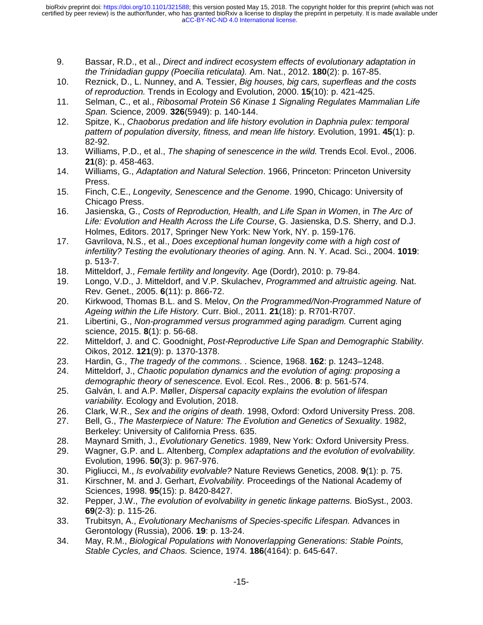- 9. Bassar, R.D., et al., *Direct and indirect ecosystem effects of evolutionary adaptation in the Trinidadian guppy (Poecilia reticulata).* Am. Nat., 2012. **180**(2): p. 167-85.
- 10. Reznick, D., L. Nunney, and A. Tessier, *Big houses, big cars, superfleas and the costs of reproduction.* Trends in Ecology and Evolution, 2000. **15**(10): p. 421-425.
- 11. Selman, C., et al., *Ribosomal Protein S6 Kinase 1 Signaling Regulates Mammalian Life Span.* Science, 2009. **326**(5949): p. 140-144.
- 12. Spitze, K., *Chaoborus predation and life history evolution in Daphnia pulex: temporal pattern of population diversity, fitness, and mean life history.* Evolution, 1991. **45**(1): p. 82-92.
- 13. Williams, P.D., et al., *The shaping of senescence in the wild.* Trends Ecol. Evol., 2006. **21**(8): p. 458-463.
- 14. Williams, G., *Adaptation and Natural Selection*. 1966, Princeton: Princeton University Press.
- 15. Finch, C.E., *Longevity, Senescence and the Genome*. 1990, Chicago: University of Chicago Press.
- 16. Jasienska, G., *Costs of Reproduction, Health, and Life Span in Women*, in *The Arc of Life: Evolution and Health Across the Life Course*, G. Jasienska, D.S. Sherry, and D.J. Holmes, Editors. 2017, Springer New York: New York, NY. p. 159-176.
- 17. Gavrilova, N.S., et al., *Does exceptional human longevity come with a high cost of infertility? Testing the evolutionary theories of aging.* Ann. N. Y. Acad. Sci., 2004. **1019**: p. 513-7.
- 18. Mitteldorf, J., *Female fertility and longevity.* Age (Dordr), 2010: p. 79-84.
- 19. Longo, V.D., J. Mitteldorf, and V.P. Skulachev, *Programmed and altruistic ageing.* Nat. Rev. Genet., 2005. **6**(11): p. 866-72.
- 20. Kirkwood, Thomas B.L. and S. Melov, *On the Programmed/Non-Programmed Nature of Ageing within the Life History.* Curr. Biol., 2011. **21**(18): p. R701-R707.
- 21. Libertini, G., *Non-programmed versus programmed aging paradigm.* Current aging science, 2015. **8**(1): p. 56-68.
- 22. Mitteldorf, J. and C. Goodnight, *Post-Reproductive Life Span and Demographic Stability.* Oikos, 2012. **121**(9): p. 1370-1378.
- 23. Hardin, G., *The tragedy of the commons. .* Science, 1968. **162**: p. 1243–1248.
- 24. Mitteldorf, J., *Chaotic population dynamics and the evolution of aging: proposing a demographic theory of senescence.* Evol. Ecol. Res., 2006. **8**: p. 561-574.
- 25. Galván, I. and A.P. Møller, *Dispersal capacity explains the evolution of lifespan variability.* Ecology and Evolution, 2018.
- 26. Clark, W.R., *Sex and the origins of death*. 1998, Oxford: Oxford University Press. 208.
- 27. Bell, G., *The Masterpiece of Nature: The Evolution and Genetics of Sexuality*. 1982, Berkeley: University of California Press. 635.
- 28. Maynard Smith, J., *Evolutionary Genetics*. 1989, New York: Oxford University Press.
- 29. Wagner, G.P. and L. Altenberg, *Complex adaptations and the evolution of evolvability.* Evolution, 1996. **50**(3): p. 967-976.
- 30. Pigliucci, M., *Is evolvability evolvable?* Nature Reviews Genetics, 2008. **9**(1): p. 75.
- 31. Kirschner, M. and J. Gerhart, *Evolvability.* Proceedings of the National Academy of Sciences, 1998. **95**(15): p. 8420-8427.
- 32. Pepper, J.W., *The evolution of evolvability in genetic linkage patterns.* BioSyst., 2003. **69**(2-3): p. 115-26.
- 33. Trubitsyn, A., *Evolutionary Mechanisms of Species-specific Lifespan.* Advances in Gerontology (Russia), 2006. **19**: p. 13-24.
- 34. May, R.M., *Biological Populations with Nonoverlapping Generations: Stable Points, Stable Cycles, and Chaos.* Science, 1974. **186**(4164): p. 645-647.